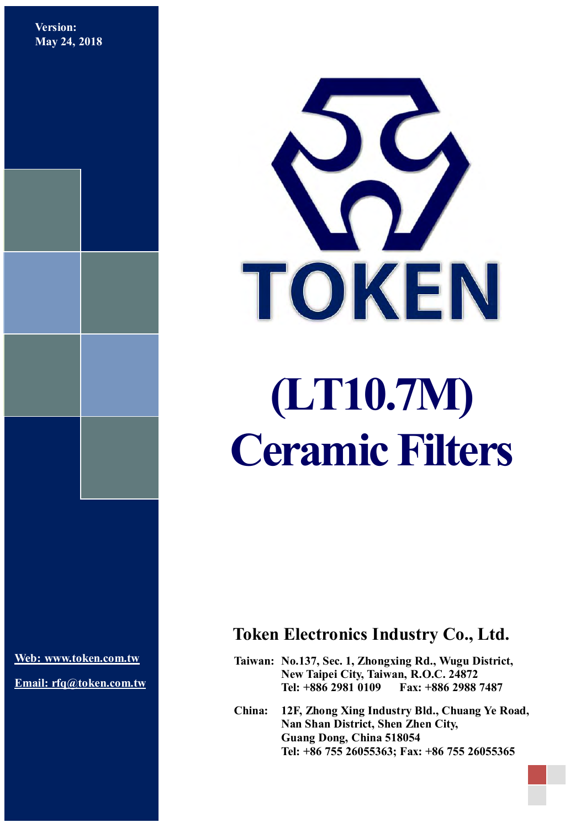**Version: May 24, 2018**



# **(LT10.7M) Ceramic Filters**

**[Web: www.token.com.tw](http://www.token.com.tw/)**

**Email: rfq@token.com.tw**

# **Token Electronics Industry Co., Ltd.**

**Taiwan: No.137, Sec. 1, Zhongxing Rd., Wugu District, New Taipei City, Taiwan, R.O.C. 24872 Tel: +886 2981 0109 Fax: +886 2988 7487**

**China: 12F, Zhong Xing Industry Bld., Chuang Ye Road, Nan Shan District, Shen Zhen City, Guang Dong, China 518054 Tel: +86 755 26055363; Fax: +86 755 26055365**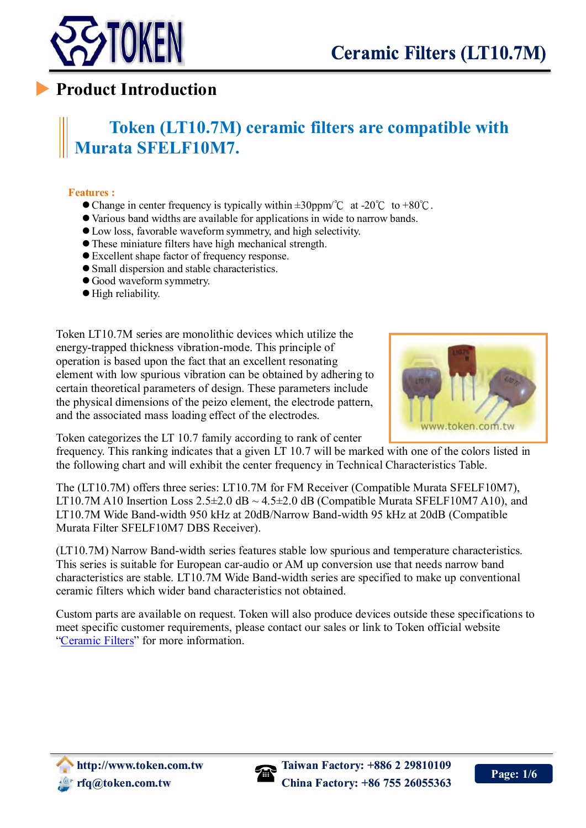

# **Product Introduction**

# **Token (LT10.7M) ceramic filters are compatible with Murata SFELF10M7.**

#### **Features :**

 $\overline{a}$ 

- $\bullet$  Change in center frequency is typically within  $\pm 30$ ppm/°C at -20°C to +80°C.
- Various band widths are available for applications in wide to narrow bands.
- Low loss, favorable waveform symmetry, and high selectivity.
- These miniature filters have high mechanical strength.
- Excellent shape factor of frequency response.
- Small dispersion and stable characteristics.
- Good waveform symmetry.
- High reliability.

Token LT10.7M series are monolithic devices which utilize the energy-trapped thickness vibration-mode. This principle of operation is based upon the fact that an excellent resonating element with low spurious vibration can be obtained by adhering to certain theoretical parameters of design. These parameters include the physical dimensions of the peizo element, the electrode pattern, and the associated mass loading effect of the electrodes.



Token categorizes the LT 10.7 family according to rank of center

frequency. This ranking indicates that a given LT 10.7 will be marked with one of the colors listed in the following [chart](file:///D:/0-WebSite/0-TokenTaiwan/Token%20Taiwan/filter/filters-lt107m.htm) and will exhibit the center frequency in [Technical Characteristics Table.](file:///D:/0-WebSite/0-TokenTaiwan/Token%20Taiwan/filter/filters-lt107m.htm)

The (LT10.7M) offers three series: LT10.7M for FM Receiver (Compatible Murata SFELF10M7), LT10.7M A10 Insertion Loss  $2.5\pm2.0$  dB  $\sim$  4.5 $\pm2.0$  dB (Compatible Murata SFELF10M7 A10), and LT10.7M Wide Band-width 950 kHz at 20dB/Narrow Band-width 95 kHz at 20dB (Compatible Murata Filter SFELF10M7 DBS Receiver).

(LT10.7M) Narrow Band-width series features stable low spurious and temperature characteristics. This series is suitable for European car-audio or AM up conversion use that needs narrow band characteristics are stable. LT10.7M Wide Band-width series are specified to make up conventional ceramic filters which wider band characteristics not obtained.

Custom parts are available on request. Token will also produce devices outside these specifications to meet specific customer requirements, please contact our sales or link to Token official website ["Ceramic](http://www.token.com.tw/filter/index.html) Filters" for more information.

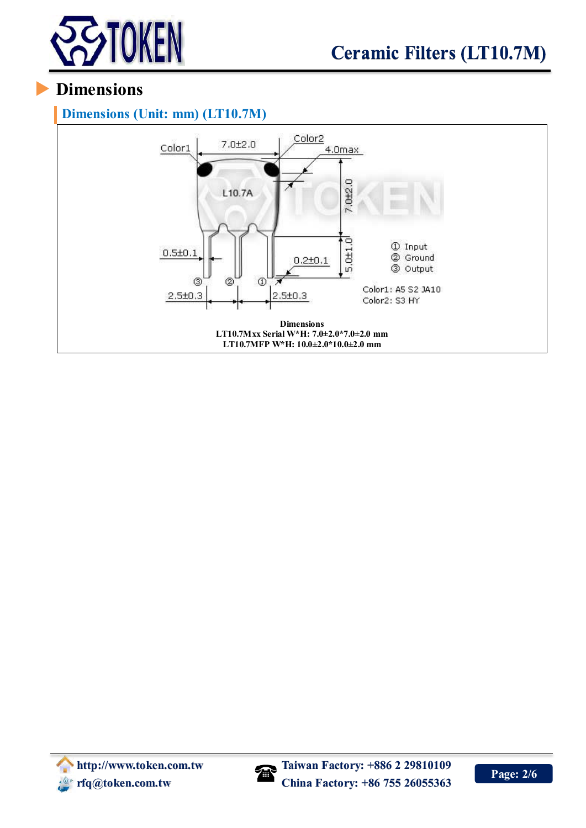

# **Dimensions**

#### **Dimensions (Unit: mm) (LT10.7M)**



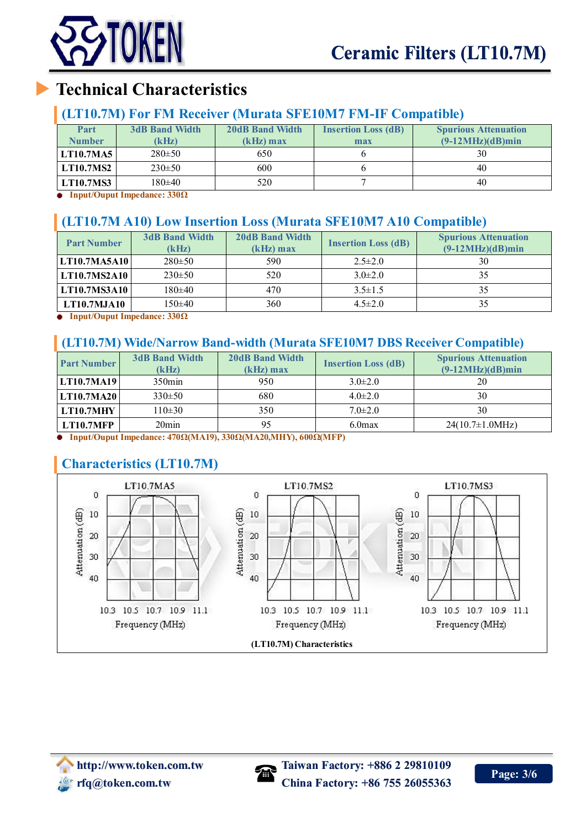

# **Technical Characteristics**

#### **(LT10.7M) For FM Receiver (Murata SFE10M7 FM-IF Compatible)**

| Part<br><b>Number</b> | <b>3dB Band Width</b><br>(kHz) | <b>20dB Band Width</b><br>$(kHz)$ max | <b>Insertion Loss (dB)</b><br>max | <b>Spurious Attenuation</b><br>$(9-12MHz)(dB)min$ |
|-----------------------|--------------------------------|---------------------------------------|-----------------------------------|---------------------------------------------------|
| LT10.7MA5             | $280 \pm 50$                   | 650                                   |                                   | 30                                                |
| <b>LT10.7MS2</b>      | $230 \pm 50$                   | 600                                   |                                   | 40                                                |
| LT10.7MS3             | 180±40                         | 520                                   |                                   | 40                                                |

**Input/Ouput Impedance: 330Ω**

### **(LT10.7M A10) Low Insertion Loss (Murata SFE10M7 A10 Compatible)**

| <b>Part Number</b>  | <b>3dB Band Width</b><br>(kHz) | <b>20dB Band Width</b><br>$(kHz)$ max | <b>Insertion Loss (dB)</b> | <b>Spurious Attenuation</b><br>$(9-12MHz)(dB)min$ |
|---------------------|--------------------------------|---------------------------------------|----------------------------|---------------------------------------------------|
| LT10.7MA5A10        | $280 \pm 50$                   | 590                                   | $2.5 \pm 2.0$              | 30                                                |
| <b>LT10.7MS2A10</b> | $230 \pm 50$                   | 520                                   | $3.0\pm2.0$                | 35                                                |
| <b>LT10.7MS3A10</b> | $180 + 40$                     | 470                                   | $3.5 \pm 1.5$              | 35                                                |
| LT10.7MJA10         | 150±40                         | 360                                   | $4.5 \pm 2.0$              | 35                                                |

**Input/Ouput Impedance: 330Ω**

#### **(LT10.7M) Wide/Narrow Band-width (Murata SFE10M7 DBS Receiver Compatible)**

| <b>3dB Band Width</b><br><b>Part Number</b><br>(kHz) | <b>20dB Band Width</b><br>$(kHz)$ max | <b>Insertion Loss (dB)</b> | <b>Spurious Attenuation</b><br>$(9-12MHz)(dB)min$ |
|------------------------------------------------------|---------------------------------------|----------------------------|---------------------------------------------------|
| $350$ min<br> LT10.7MA19                             | 950                                   | $3.0 \pm 2.0$              | 20                                                |
| $330 \pm 50$<br>LT10.7MA20                           | 680                                   | $4.0 \pm 2.0$              | 30                                                |
| $110 \pm 30$<br>LT10.7MHY                            | 350                                   | $7.0 \pm 2.0$              | 30                                                |
| $20$ min<br>LT10.7MFP                                |                                       | $6.0$ max                  | $24(10.7\pm1.0MHz)$                               |

**Input/Ouput Impedance: 470Ω(MA19), 330Ω(MA20,MHY), 600Ω(MFP)** ۰

### **Characteristics (LT10.7M)**



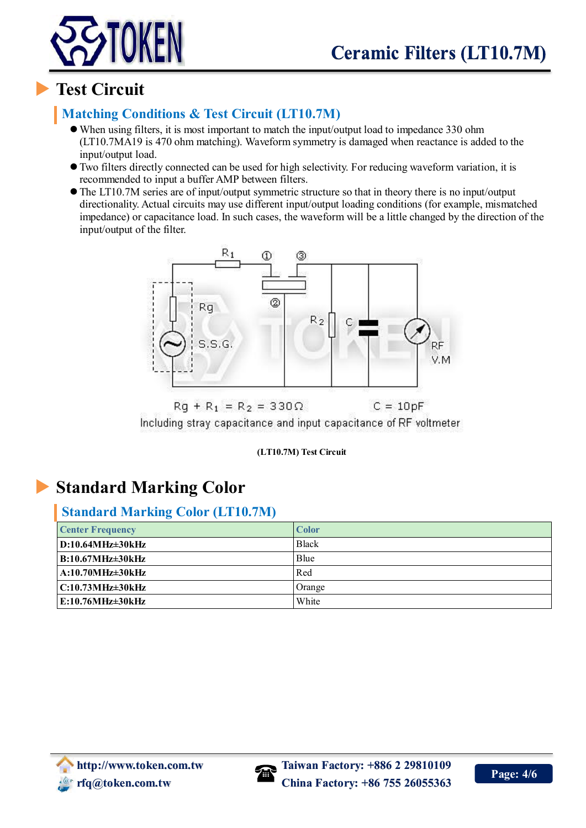



# **Test Circuit**

## **Matching Conditions & Test Circuit (LT10.7M)**

- When using filters, it is most important to match the input/output load to impedance 330 ohm (LT10.7MA19 is 470 ohm matching). Waveform symmetry is damaged when reactance is added to the input/output load.
- Two filters directly connected can be used for high selectivity. For reducing waveform variation, it is recommended to input a buffer AMP between filters.
- The LT10.7M series are of input/output symmetric structure so that in theory there is no input/output directionality. Actual circuits may use different input/output loading conditions (for example, mismatched impedance) or capacitance load. In such cases, the waveform will be a little changed by the direction of the input/output of the filter.



 $Rq + R_1 = R_2 = 330 \Omega$  $C = 10pF$ Including stray capacitance and input capacitance of RF voltmeter

#### **(LT10.7M) Test Circuit**

# **Standard Marking Color**

#### **Standard Marking Color (LT10.7M)**

| <b>Center Frequency</b> | <b>Color</b> |
|-------------------------|--------------|
| $D:10.64MHz\pm30kHz$    | <b>Black</b> |
| $B:10.67MHz\pm30kHz$    | Blue         |
| $A:10.70MHz \pm 30kHz$  | Red          |
| $C:10.73MHz\pm30kHz$    | Orange       |
| $E:10.76MHz\pm30kHz$    | White        |

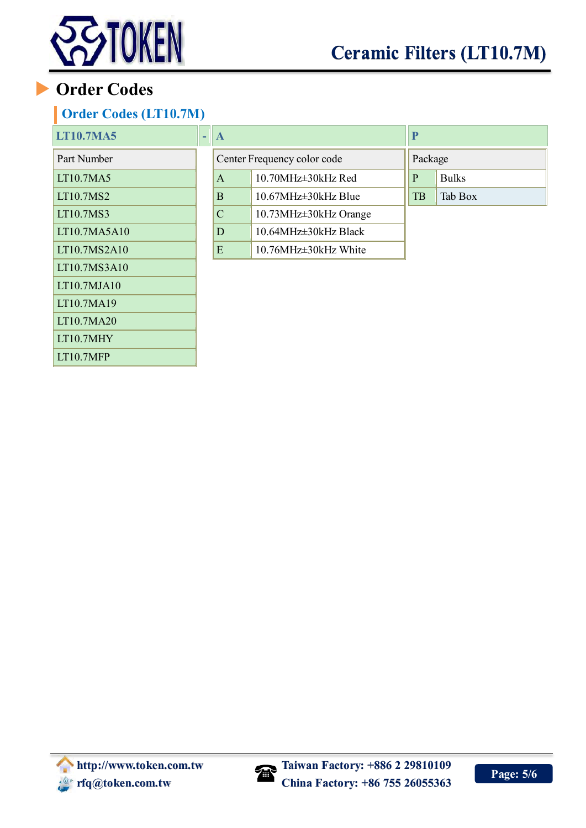

# **Order Codes**

LT10.7MA20 LT10.7MHY LT10.7MFP

## **Order Codes (LT10.7M)**

| <b>LT10.7MA5</b> | ٠ | $\mathbf A$                 |                             | P       |              |
|------------------|---|-----------------------------|-----------------------------|---------|--------------|
| Part Number      |   | Center Frequency color code |                             | Package |              |
| <b>LT10.7MA5</b> |   | $\mathsf{A}$                | 10.70MHz±30kHz Red          | P       | <b>Bulks</b> |
| <b>LT10.7MS2</b> |   | B                           | 10.67MHz±30kHz Blue         | TB      | Tab Box      |
| <b>LT10.7MS3</b> |   | $\mathbf C$                 | 10.73MHz $\pm$ 30kHz Orange |         |              |
| LT10.7MA5A10     |   | D                           | 10.64MHz±30kHz Black        |         |              |
| LT10.7MS2A10     |   | E                           | 10.76MHz±30kHz White        |         |              |
| LT10.7MS3A10     |   |                             |                             |         |              |
| LT10.7MJA10      |   |                             |                             |         |              |
| LT10.7MA19       |   |                             |                             |         |              |